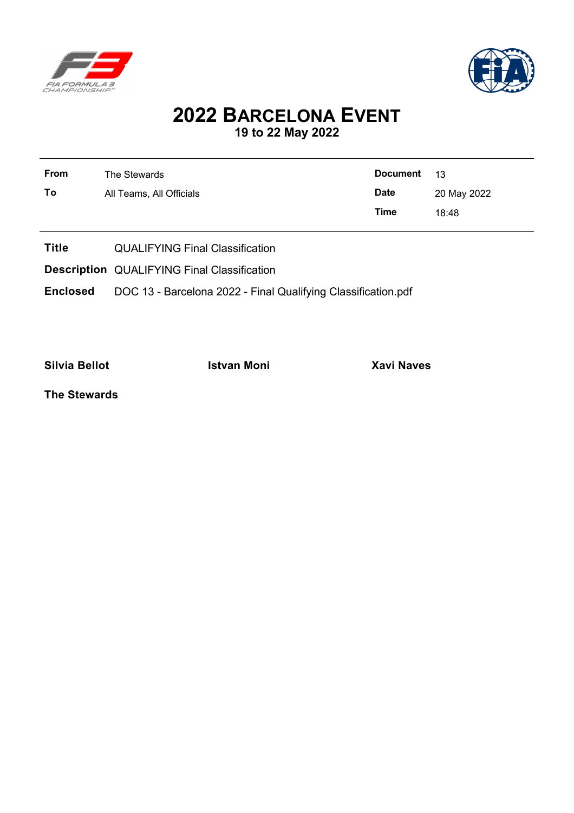



## **2022 BARCELONA EVENT 19 to 22 May 2022**

| <b>From</b> | The Stewards             | <b>Document</b> | 13          |
|-------------|--------------------------|-----------------|-------------|
| To          | All Teams, All Officials | <b>Date</b>     | 20 May 2022 |
|             |                          | Time            | 18:48       |

- **Title** QUALIFYING Final Classification
- **Description** QUALIFYING Final Classification

**Enclosed** DOC 13 - Barcelona 2022 - Final Qualifying Classification.pdf

**Silvia Bellot Istvan Moni Xavi Naves**

**The Stewards**